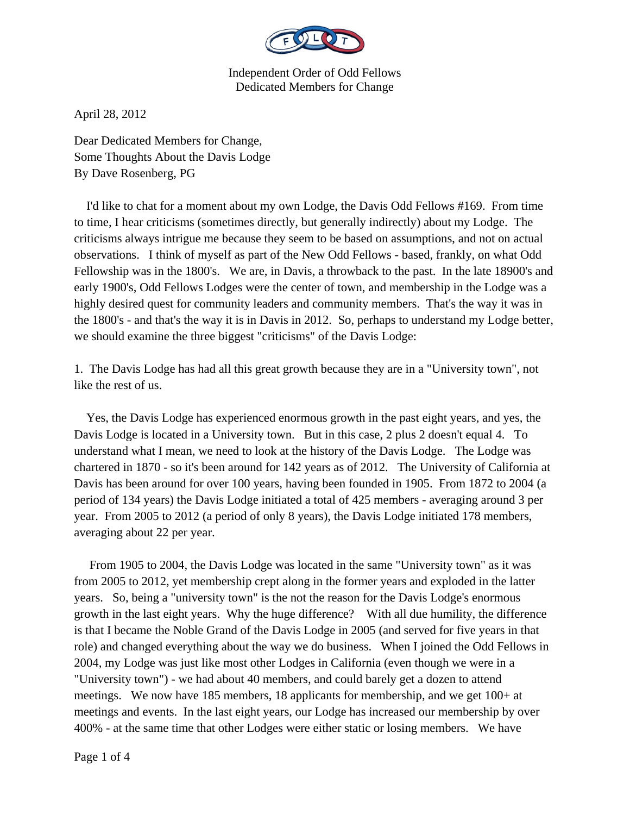

April 28, 2012

Dear Dedicated Members for Change, Some Thoughts About the Davis Lodge By Dave Rosenberg, PG

 I'd like to chat for a moment about my own Lodge, the Davis Odd Fellows #169. From time to time, I hear criticisms (sometimes directly, but generally indirectly) about my Lodge. The criticisms always intrigue me because they seem to be based on assumptions, and not on actual observations. I think of myself as part of the New Odd Fellows - based, frankly, on what Odd Fellowship was in the 1800's. We are, in Davis, a throwback to the past. In the late 18900's and early 1900's, Odd Fellows Lodges were the center of town, and membership in the Lodge was a highly desired quest for community leaders and community members. That's the way it was in the 1800's - and that's the way it is in Davis in 2012. So, perhaps to understand my Lodge better, we should examine the three biggest "criticisms" of the Davis Lodge:

1. The Davis Lodge has had all this great growth because they are in a "University town", not like the rest of us.

 Yes, the Davis Lodge has experienced enormous growth in the past eight years, and yes, the Davis Lodge is located in a University town. But in this case, 2 plus 2 doesn't equal 4. To understand what I mean, we need to look at the history of the Davis Lodge. The Lodge was chartered in 1870 - so it's been around for 142 years as of 2012. The University of California at Davis has been around for over 100 years, having been founded in 1905. From 1872 to 2004 (a period of 134 years) the Davis Lodge initiated a total of 425 members - averaging around 3 per year. From 2005 to 2012 (a period of only 8 years), the Davis Lodge initiated 178 members, averaging about 22 per year.

 From 1905 to 2004, the Davis Lodge was located in the same "University town" as it was from 2005 to 2012, yet membership crept along in the former years and exploded in the latter years. So, being a "university town" is the not the reason for the Davis Lodge's enormous growth in the last eight years. Why the huge difference? With all due humility, the difference is that I became the Noble Grand of the Davis Lodge in 2005 (and served for five years in that role) and changed everything about the way we do business. When I joined the Odd Fellows in 2004, my Lodge was just like most other Lodges in California (even though we were in a "University town") - we had about 40 members, and could barely get a dozen to attend meetings. We now have 185 members, 18 applicants for membership, and we get 100+ at meetings and events. In the last eight years, our Lodge has increased our membership by over 400% - at the same time that other Lodges were either static or losing members. We have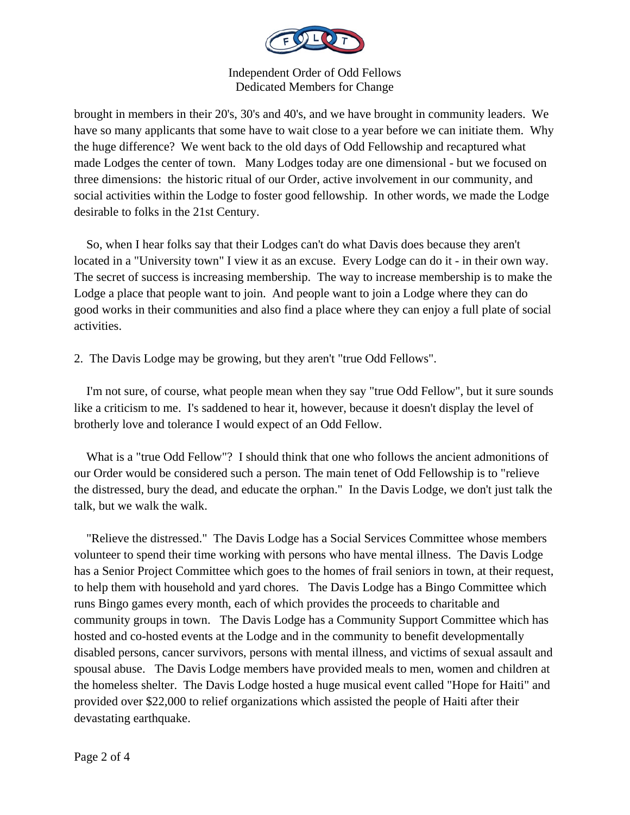

brought in members in their 20's, 30's and 40's, and we have brought in community leaders. We have so many applicants that some have to wait close to a year before we can initiate them. Why the huge difference? We went back to the old days of Odd Fellowship and recaptured what made Lodges the center of town. Many Lodges today are one dimensional - but we focused on three dimensions: the historic ritual of our Order, active involvement in our community, and social activities within the Lodge to foster good fellowship. In other words, we made the Lodge desirable to folks in the 21st Century.

 So, when I hear folks say that their Lodges can't do what Davis does because they aren't located in a "University town" I view it as an excuse. Every Lodge can do it - in their own way. The secret of success is increasing membership. The way to increase membership is to make the Lodge a place that people want to join. And people want to join a Lodge where they can do good works in their communities and also find a place where they can enjoy a full plate of social activities.

2. The Davis Lodge may be growing, but they aren't "true Odd Fellows".

 I'm not sure, of course, what people mean when they say "true Odd Fellow", but it sure sounds like a criticism to me. I's saddened to hear it, however, because it doesn't display the level of brotherly love and tolerance I would expect of an Odd Fellow.

 What is a "true Odd Fellow"? I should think that one who follows the ancient admonitions of our Order would be considered such a person. The main tenet of Odd Fellowship is to "relieve the distressed, bury the dead, and educate the orphan." In the Davis Lodge, we don't just talk the talk, but we walk the walk.

 "Relieve the distressed." The Davis Lodge has a Social Services Committee whose members volunteer to spend their time working with persons who have mental illness. The Davis Lodge has a Senior Project Committee which goes to the homes of frail seniors in town, at their request, to help them with household and yard chores. The Davis Lodge has a Bingo Committee which runs Bingo games every month, each of which provides the proceeds to charitable and community groups in town. The Davis Lodge has a Community Support Committee which has hosted and co-hosted events at the Lodge and in the community to benefit developmentally disabled persons, cancer survivors, persons with mental illness, and victims of sexual assault and spousal abuse. The Davis Lodge members have provided meals to men, women and children at the homeless shelter. The Davis Lodge hosted a huge musical event called "Hope for Haiti" and provided over \$22,000 to relief organizations which assisted the people of Haiti after their devastating earthquake.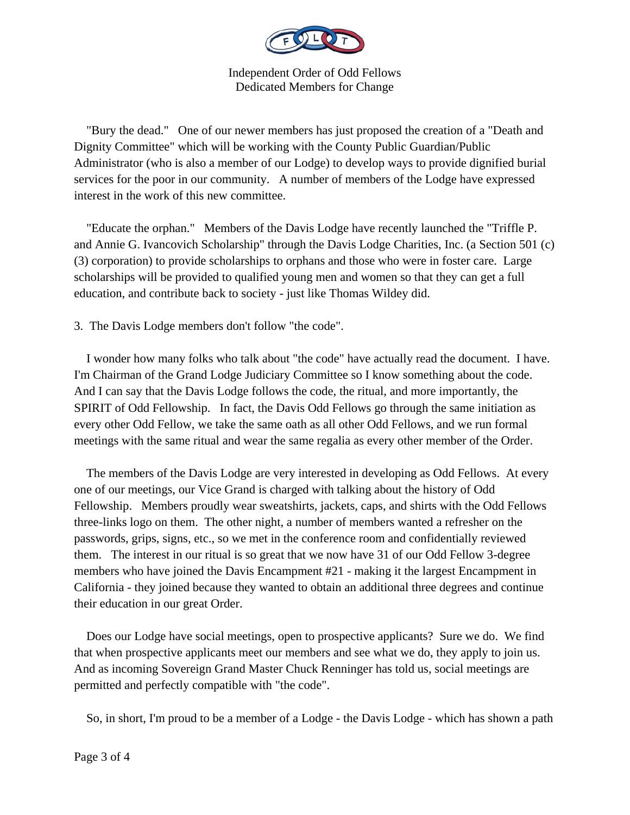

 "Bury the dead." One of our newer members has just proposed the creation of a "Death and Dignity Committee" which will be working with the County Public Guardian/Public Administrator (who is also a member of our Lodge) to develop ways to provide dignified burial services for the poor in our community. A number of members of the Lodge have expressed interest in the work of this new committee.

 "Educate the orphan." Members of the Davis Lodge have recently launched the "Triffle P. and Annie G. Ivancovich Scholarship" through the Davis Lodge Charities, Inc. (a Section 501 (c) (3) corporation) to provide scholarships to orphans and those who were in foster care. Large scholarships will be provided to qualified young men and women so that they can get a full education, and contribute back to society - just like Thomas Wildey did.

3. The Davis Lodge members don't follow "the code".

 I wonder how many folks who talk about "the code" have actually read the document. I have. I'm Chairman of the Grand Lodge Judiciary Committee so I know something about the code. And I can say that the Davis Lodge follows the code, the ritual, and more importantly, the SPIRIT of Odd Fellowship. In fact, the Davis Odd Fellows go through the same initiation as every other Odd Fellow, we take the same oath as all other Odd Fellows, and we run formal meetings with the same ritual and wear the same regalia as every other member of the Order.

 The members of the Davis Lodge are very interested in developing as Odd Fellows. At every one of our meetings, our Vice Grand is charged with talking about the history of Odd Fellowship. Members proudly wear sweatshirts, jackets, caps, and shirts with the Odd Fellows three-links logo on them. The other night, a number of members wanted a refresher on the passwords, grips, signs, etc., so we met in the conference room and confidentially reviewed them. The interest in our ritual is so great that we now have 31 of our Odd Fellow 3-degree members who have joined the Davis Encampment #21 - making it the largest Encampment in California - they joined because they wanted to obtain an additional three degrees and continue their education in our great Order.

 Does our Lodge have social meetings, open to prospective applicants? Sure we do. We find that when prospective applicants meet our members and see what we do, they apply to join us. And as incoming Sovereign Grand Master Chuck Renninger has told us, social meetings are permitted and perfectly compatible with "the code".

So, in short, I'm proud to be a member of a Lodge - the Davis Lodge - which has shown a path